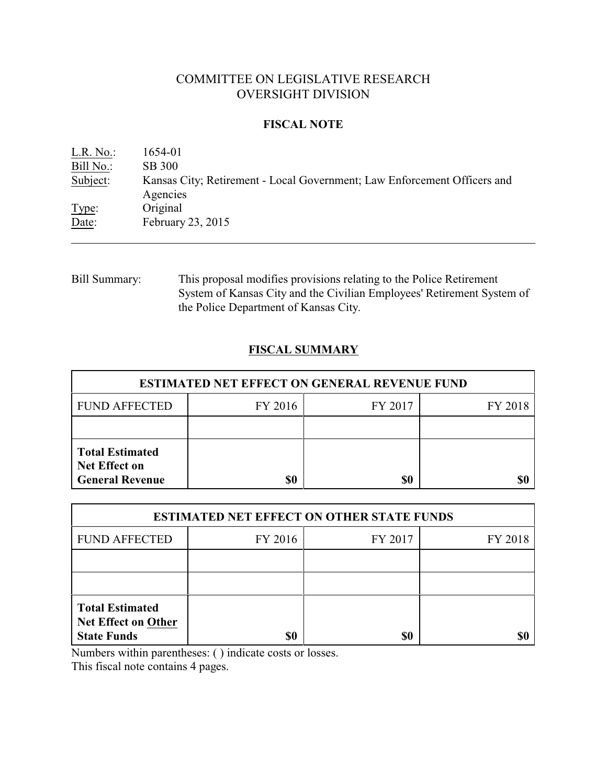# COMMITTEE ON LEGISLATIVE RESEARCH OVERSIGHT DIVISION

## **FISCAL NOTE**

| L.R. No.  | 1654-01                                                                              |
|-----------|--------------------------------------------------------------------------------------|
| Bill No.: | <b>SB 300</b>                                                                        |
| Subject:  | Kansas City; Retirement - Local Government; Law Enforcement Officers and<br>Agencies |
| Type:     | Original                                                                             |
| Date:     | February 23, 2015                                                                    |

Bill Summary: This proposal modifies provisions relating to the Police Retirement System of Kansas City and the Civilian Employees' Retirement System of the Police Department of Kansas City.

## **FISCAL SUMMARY**

| <b>ESTIMATED NET EFFECT ON GENERAL REVENUE FUND</b>                      |         |         |         |  |
|--------------------------------------------------------------------------|---------|---------|---------|--|
| <b>FUND AFFECTED</b>                                                     | FY 2016 | FY 2017 | FY 2018 |  |
|                                                                          |         |         |         |  |
| <b>Total Estimated</b><br><b>Net Effect on</b><br><b>General Revenue</b> | \$0     | \$0     |         |  |

| <b>ESTIMATED NET EFFECT ON OTHER STATE FUNDS</b>                           |         |         |         |  |
|----------------------------------------------------------------------------|---------|---------|---------|--|
| <b>FUND AFFECTED</b>                                                       | FY 2016 | FY 2017 | FY 2018 |  |
|                                                                            |         |         |         |  |
|                                                                            |         |         |         |  |
| <b>Total Estimated</b><br><b>Net Effect on Other</b><br><b>State Funds</b> | \$0     | \$0     |         |  |

Numbers within parentheses: ( ) indicate costs or losses.

This fiscal note contains 4 pages.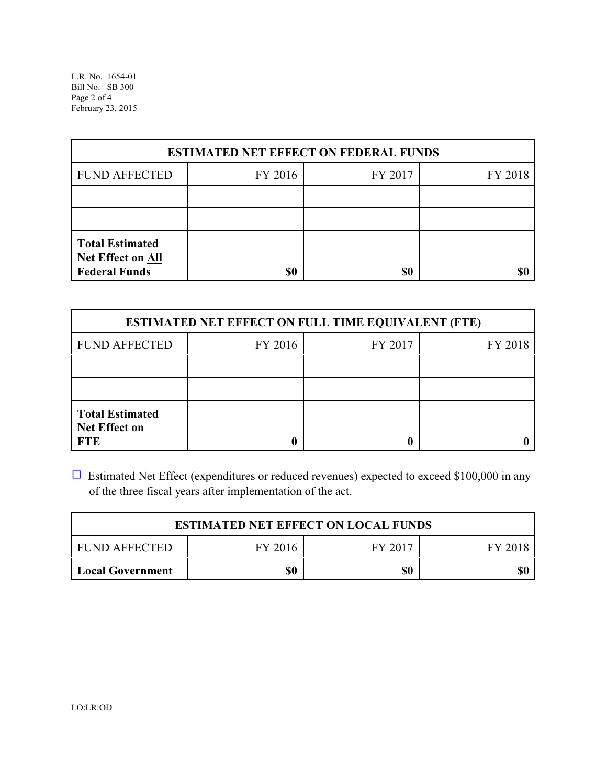L.R. No. 1654-01 Bill No. SB 300 Page 2 of 4 February 23, 2015

| <b>ESTIMATED NET EFFECT ON FEDERAL FUNDS</b>                        |         |         |         |  |
|---------------------------------------------------------------------|---------|---------|---------|--|
| <b>FUND AFFECTED</b>                                                | FY 2016 | FY 2017 | FY 2018 |  |
|                                                                     |         |         |         |  |
|                                                                     |         |         |         |  |
| <b>Total Estimated</b><br>Net Effect on All<br><b>Federal Funds</b> | \$0     | \$0     |         |  |

| <b>ESTIMATED NET EFFECT ON FULL TIME EQUIVALENT (FTE)</b>    |         |         |         |  |
|--------------------------------------------------------------|---------|---------|---------|--|
| <b>FUND AFFECTED</b>                                         | FY 2016 | FY 2017 | FY 2018 |  |
|                                                              |         |         |         |  |
|                                                              |         |         |         |  |
| <b>Total Estimated</b><br><b>Net Effect on</b><br><b>FTE</b> |         |         |         |  |

 $\Box$  Estimated Net Effect (expenditures or reduced revenues) expected to exceed \$100,000 in any of the three fiscal years after implementation of the act.

| <b>ESTIMATED NET EFFECT ON LOCAL FUNDS</b> |         |         |         |  |
|--------------------------------------------|---------|---------|---------|--|
| <b>FUND AFFECTED</b>                       | FY 2016 | FY 2017 | FY 2018 |  |
| Local Government                           | \$0     | \$0     | \$0     |  |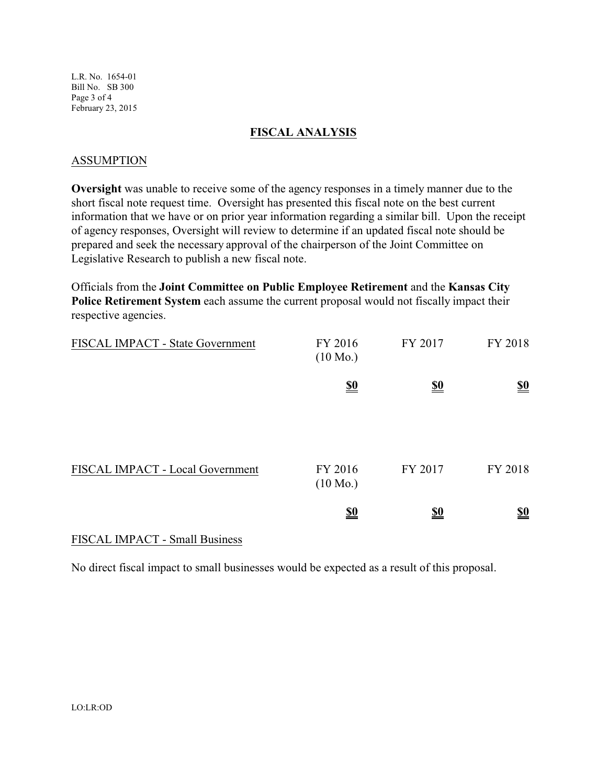L.R. No. 1654-01 Bill No. SB 300 Page 3 of 4 February 23, 2015

#### **FISCAL ANALYSIS**

#### ASSUMPTION

**Oversight** was unable to receive some of the agency responses in a timely manner due to the short fiscal note request time. Oversight has presented this fiscal note on the best current information that we have or on prior year information regarding a similar bill. Upon the receipt of agency responses, Oversight will review to determine if an updated fiscal note should be prepared and seek the necessary approval of the chairperson of the Joint Committee on Legislative Research to publish a new fiscal note.

Officials from the **Joint Committee on Public Employee Retirement** and the **Kansas City Police Retirement System** each assume the current proposal would not fiscally impact their respective agencies.

| FISCAL IMPACT - State Government | FY 2016<br>$(10 \text{ Mo.})$ | FY 2017                       | FY 2018                       |
|----------------------------------|-------------------------------|-------------------------------|-------------------------------|
|                                  | $\underline{\underline{\$0}}$ | $\underline{\underline{\$0}}$ | $\underline{\underline{\$0}}$ |
| FISCAL IMPACT - Local Government | FY 2016<br>$(10 \text{ Mo.})$ | FY 2017                       | FY 2018                       |
|                                  | $\underline{\underline{\$0}}$ | <u>\$0</u>                    | $\underline{\$0}$             |

## FISCAL IMPACT - Small Business

No direct fiscal impact to small businesses would be expected as a result of this proposal.